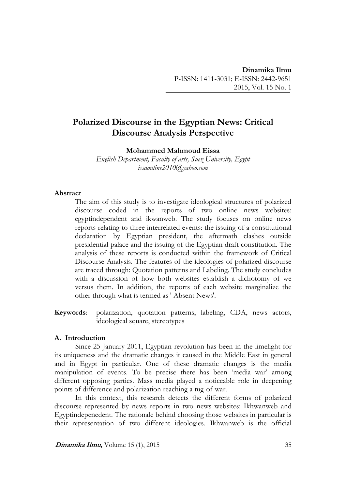# **Polarized Discourse in the Egyptian News: Critical Discourse Analysis Perspective**

**Mohammed Mahmoud Eissa**

*English Department, Faculty of arts, Suez University, Egypt issaonline2010@yahoo.com*

### **Abstract**

The aim of this study is to investigate ideological structures of polarized discourse coded in the reports of two online news websites: egyptindependent and ikwanweb. The study focuses on online news reports relating to three interrelated events: the issuing of a constitutional declaration by Egyptian president, the aftermath clashes outside presidential palace and the issuing of the Egyptian draft constitution. The analysis of these reports is conducted within the framework of Critical Discourse Analysis. The features of the ideologies of polarized discourse are traced through: Quotation patterns and Labeling. The study concludes with a discussion of how both websites establish a dichotomy of we versus them. In addition, the reports of each website marginalize the other through what is termed as ' Absent News'.

**Keywords**: polarization, quotation patterns, labeling, CDA, news actors, ideological square, stereotypes

#### **A. Introduction**

Since 25 January 2011, Egyptian revolution has been in the limelight for its uniqueness and the dramatic changes it caused in the Middle East in general and in Egypt in particular. One of these dramatic changes is the media manipulation of events. To be precise there has been 'media war' among different opposing parties. Mass media played a noticeable role in deepening points of difference and polarization reaching a tug-of-war.

In this context, this research detects the different forms of polarized discourse represented by news reports in two news websites: Ikhwanweb and Egyptindepenedent. The rationale behind choosing those websites in particular is their representation of two different ideologies. Ikhwanweb is the official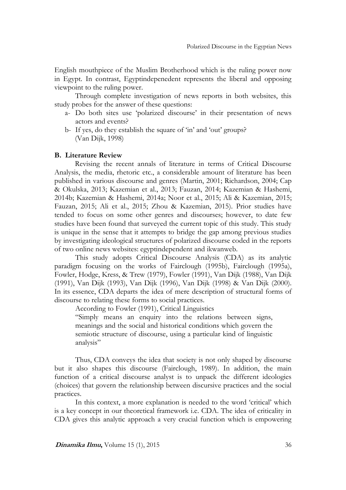English mouthpiece of the Muslim Brotherhood which is the ruling power now in Egypt. In contrast, Egyptindepenedent represents the liberal and opposing viewpoint to the ruling power.

Through complete investigation of news reports in both websites, this study probes for the answer of these questions:

- a- Do both sites use 'polarized discourse' in their presentation of news actors and events?
- b- If yes, do they establish the square of 'in' and 'out' groups? (Van Dijk, 1998)

#### **B. Literature Review**

Revising the recent annals of literature in terms of Critical Discourse Analysis, the media, rhetoric etc., a considerable amount of literature has been published in various discourse and genres (Martin, 2001; Richardson, 2004; Cap & Okulska, 2013; Kazemian et al., 2013; Fauzan, 2014; Kazemian & Hashemi, 2014b; Kazemian & Hashemi, 2014a; Noor et al., 2015; Ali & Kazemian, 2015; Fauzan, 2015; Ali et al., 2015; Zhou & Kazemian, 2015). Prior studies have tended to focus on some other genres and discourses; however, to date few studies have been found that surveyed the current topic of this study. This study is unique in the sense that it attempts to bridge the gap among previous studies by investigating ideological structures of polarized discourse coded in the reports of two online news websites: egyptindependent and ikwanweb.

This study adopts Critical Discourse Analysis (CDA) as its analytic paradigm focusing on the works of Fairclough (1995b), Fairclough (1995a), Fowler, Hodge, Kress, & Trew (1979), Fowler (1991), Van Dijk (1988), Van Dijk (1991), Van Dijk (1993), Van Dijk (1996), Van Dijk (1998) & Van Dijk (2000). In its essence, CDA departs the idea of mere description of structural forms of discourse to relating these forms to social practices.

According to Fowler (1991), Critical Linguistics

"Simply means an enquiry into the relations between signs, meanings and the social and historical conditions which govern the semiotic structure of discourse, using a particular kind of linguistic analysis"

Thus, CDA conveys the idea that society is not only shaped by discourse but it also shapes this discourse (Fairclough, 1989). In addition, the main function of a critical discourse analyst is to unpack the different ideologies (choices) that govern the relationship between discursive practices and the social practices.

In this context, a more explanation is needed to the word 'critical' which is a key concept in our theoretical framework i.e. CDA. The idea of criticality in CDA gives this analytic approach a very crucial function which is empowering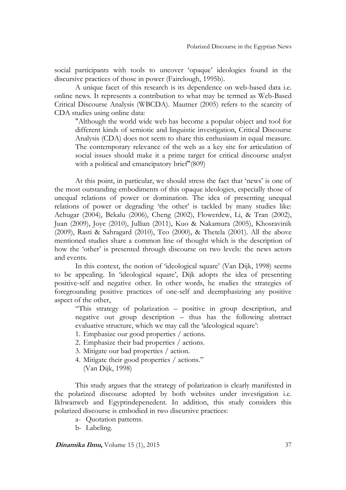social participants with tools to uncover 'opaque' ideologies found in the discursive practices of those in power (Fairclough, 1995b).

A unique facet of this research is its dependence on web-based data i.e. online news. It represents a contribution to what may be termed as Web-Based Critical Discourse Analysis (WBCDA). Mautner (2005) refers to the scarcity of CDA studies using online data:

"Although the world wide web has become a popular object and tool for different kinds of semiotic and linguistic investigation, Critical Discourse Analysis (CDA) does not seem to share this enthusiasm in equal measure. The contemporary relevance of the web as a key site for articulation of social issues should make it a prime target for critical discourse analyst with a political and emancipatory brief"(809)

At this point, in particular, we should stress the fact that 'news' is one of the most outstanding embodiments of this opaque ideologies, especially those of unequal relations of power or domination. The idea of presenting unequal relations of power or degrading 'the other' is tackled by many studies like: Achugar (2004), Bekalu (2006), Cheng (2002), Flowerdew, Li, & Tran (2002), Juan (2009), Joye (2010), Jullian (2011), Kuo & Nakamura (2005), Khosravinik (2009), Rasti & Sahragard (2010), Teo (2000), & Thetela (2001). All the above mentioned studies share a common line of thought which is the description of how the 'other' is presented through discourse on two levels: the news actors and events.

In this context, the notion of 'ideological square' (Van Dijk, 1998) seems to be appealing. In 'ideological square', Dijk adopts the idea of presenting positive-self and negative other. In other words, he studies the strategies of foregrounding positive practices of one-self and deemphasizing any positive aspect of the other,

"This strategy of polarization – positive in group description, and negative out group description – thus has the following abstract evaluative structure, which we may call the 'ideological square':

- 1. Emphasize our good properties / actions.
- 2. Emphasize their bad properties / actions.
- 3. Mitigate our bad properties / action.
- 4. Mitigate their good properties / actions." (Van Dijk, 1998)

This study argues that the strategy of polarization is clearly manifested in the polarized discourse adopted by both websites under investigation i.e. Ikhwanweb and Egyptindepenedent. In addition, this study considers this polarized discourse is embodied in two discursive practices:

- a- Quotation patterns.
- b- Labeling.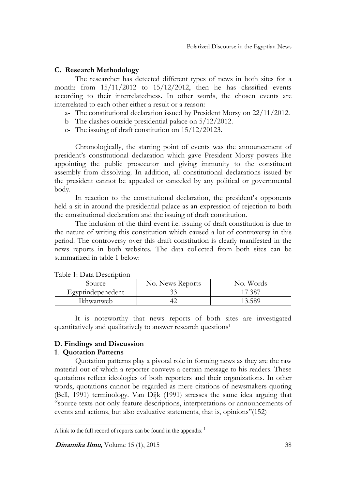# **C. Research Methodology**

The researcher has detected different types of news in both sites for a month: from 15/11/2012 to 15/12/2012, then he has classified events according to their interrelatedness. In other words, the chosen events are interrelated to each other either a result or a reason:

a- The constitutional declaration issued by President Morsy on 22/11/2012.

- b- The clashes outside presidential palace on 5/12/2012.
- c- The issuing of draft constitution on 15/12/20123.

Chronologically, the starting point of events was the announcement of president's constitutional declaration which gave President Morsy powers like appointing the public prosecutor and giving immunity to the constituent assembly from dissolving. In addition, all constitutional declarations issued by the president cannot be appealed or canceled by any political or governmental body.

In reaction to the constitutional declaration, the president's opponents held a sit-in around the presidential palace as an expression of rejection to both the constitutional declaration and the issuing of draft constitution.

The inclusion of the third event i.e. issuing of draft constitution is due to the nature of writing this constitution which caused a lot of controversy in this period. The controversy over this draft constitution is clearly manifested in the news reports in both websites. The data collected from both sites can be summarized in table 1 below:

| Source            | No. News Reports | No. Words   |
|-------------------|------------------|-------------|
| Egyptindepenedent |                  | $17.38^{-}$ |
| Ikhwanweb         |                  | 13.589      |

Table 1: Data Description

It is noteworthy that news reports of both sites are investigated quantitatively and qualitatively to answer research questions<sup>1</sup>

#### **D. Findings and Discussion**

# **1**. **Quotation Patterns**

 $\overline{a}$ 

Quotation patterns play a pivotal role in forming news as they are the raw material out of which a reporter conveys a certain message to his readers. These quotations reflect ideologies of both reporters and their organizations. In other words, quotations cannot be regarded as mere citations of newsmakers quoting (Bell, 1991) terminology. Van Dijk (1991) stresses the same idea arguing that "source texts not only feature descriptions, interpretations or announcements of events and actions, but also evaluative statements, that is, opinions"(152)

A link to the full record of reports can be found in the appendix  $<sup>1</sup>$ </sup>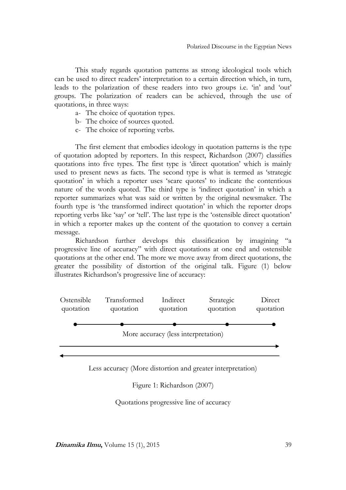This study regards quotation patterns as strong ideological tools which can be used to direct readers' interpretation to a certain direction which, in turn, leads to the polarization of these readers into two groups i.e. 'in' and 'out' groups. The polarization of readers can be achieved, through the use of quotations, in three ways:

- a- The choice of quotation types.
- b- The choice of sources quoted.
- c- The choice of reporting verbs.

The first element that embodies ideology in quotation patterns is the type of quotation adopted by reporters. In this respect, Richardson (2007) classifies quotations into five types. The first type is 'direct quotation' which is mainly used to present news as facts. The second type is what is termed as 'strategic quotation' in which a reporter uses 'scare quotes' to indicate the contentious nature of the words quoted. The third type is 'indirect quotation' in which a reporter summarizes what was said or written by the original newsmaker. The fourth type is 'the transformed indirect quotation' in which the reporter drops reporting verbs like 'say' or 'tell'. The last type is the 'ostensible direct quotation' in which a reporter makes up the content of the quotation to convey a certain message.

Richardson further develops this classification by imagining "a progressive line of accuracy" with direct quotations at one end and ostensible quotations at the other end. The more we move away from direct quotations, the greater the possibility of distortion of the original talk. Figure (1) below illustrates Richardson's progressive line of accuracy:



Less accuracy (More distortion and greater interpretation)

Figure 1: Richardson (2007)

Quotations progressive line of accuracy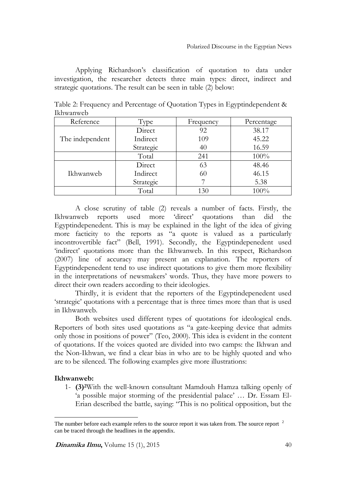Applying Richardson's classification of quotation to data under investigation, the researcher detects three main types: direct, indirect and strategic quotations. The result can be seen in table (2) below:

Table 2: Frequency and Percentage of Quotation Types in Egyptindependent & Ikhwanweb

| Reference       | Type      | Frequency | Percentage |
|-----------------|-----------|-----------|------------|
|                 | Direct    | 92        | 38.17      |
| The independent | Indirect  | 109       | 45.22      |
|                 | Strategic | 40        | 16.59      |
|                 | Total     | 241       | 100%       |
|                 | Direct    | 63        | 48.46      |
| Ikhwanweb       | Indirect  | 60        | 46.15      |
|                 | Strategic |           | 5.38       |
|                 | Total     | 130       | 100%       |

A close scrutiny of table (2) reveals a number of facts. Firstly, the Ikhwanweb reports used more 'direct' quotations than did the Egyptindepenedent. This is may be explained in the light of the idea of giving more facticity to the reports as "a quote is valued as a particularly incontrovertible fact" (Bell, 1991). Secondly, the Egyptindepenedent used 'indirect' quotations more than the Ikhwanweb. In this respect, Richardson (2007) line of accuracy may present an explanation. The reporters of Egyptindepenedent tend to use indirect quotations to give them more flexibility in the interpretations of newsmakers' words. Thus, they have more powers to direct their own readers according to their ideologies.

Thirdly, it is evident that the reporters of the Egyptindepenedent used 'strategic' quotations with a percentage that is three times more than that is used in Ikhwanweb.

Both websites used different types of quotations for ideological ends. Reporters of both sites used quotations as "a gate-keeping device that admits only those in positions of power" (Teo, 2000). This idea is evident in the content of quotations. If the voices quoted are divided into two camps: the Ikhwan and the Non-Ikhwan, we find a clear bias in who are to be highly quoted and who are to be silenced. The following examples give more illustrations:

# **Ikhwanweb:**

 $\overline{a}$ 

1- **(3)2**With the well-known consultant Mamdouh Hamza talking openly of 'a possible major storming of the presidential palace' … Dr. Essam El-Erian described the battle, saying: "This is no political opposition, but the

The number before each example refers to the source report it was taken from. The source report <sup>2</sup> can be traced through the headlines in the appendix.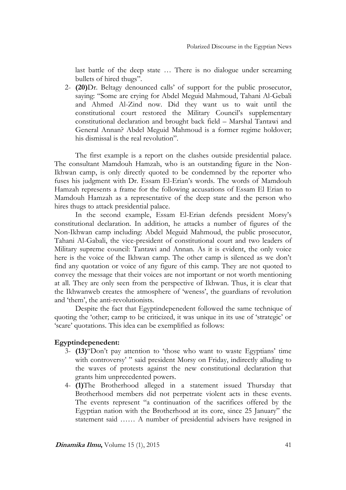last battle of the deep state … There is no dialogue under screaming bullets of hired thugs".

2- **(20)**Dr. Beltagy denounced calls' of support for the public prosecutor, saying: "Some are crying for Abdel Meguid Mahmoud, Tahani Al-Gebali and Ahmed Al-Zind now. Did they want us to wait until the constitutional court restored the Military Council's supplementary constitutional declaration and brought back field – Marshal Tantawi and General Annan? Abdel Meguid Mahmoud is a former regime holdover; his dismissal is the real revolution".

The first example is a report on the clashes outside presidential palace. The consultant Mamdouh Hamzah, who is an outstanding figure in the Non-Ikhwan camp, is only directly quoted to be condemned by the reporter who fuses his judgment with Dr. Essam El-Erian's words. The words of Mamdouh Hamzah represents a frame for the following accusations of Essam El Erian to Mamdouh Hamzah as a representative of the deep state and the person who hires thugs to attack presidential palace.

In the second example, Essam El-Erian defends president Morsy's constitutional declaration. In addition, he attacks a number of figures of the Non-Ikhwan camp including: Abdel Meguid Mahmoud, the public prosecutor, Tahani Al-Gabali, the vice-president of constitutional court and two leaders of Military supreme council: Tantawi and Annan. As it is evident, the only voice here is the voice of the Ikhwan camp. The other camp is silenced as we don't find any quotation or voice of any figure of this camp. They are not quoted to convey the message that their voices are not important or not worth mentioning at all. They are only seen from the perspective of Ikhwan. Thus, it is clear that the Ikhwanweb creates the atmosphere of 'weness', the guardians of revolution and 'them', the anti-revolutionists.

Despite the fact that Egyptindepenedent followed the same technique of quoting the 'other; camp to be criticized, it was unique in its use of 'strategic' or 'scare' quotations. This idea can be exemplified as follows:

# **Egyptindepenedent:**

- 3- **(13)**"Don't pay attention to 'those who want to waste Egyptians' time with controversy' " said president Morsy on Friday, indirectly alluding to the waves of protests against the new constitutional declaration that grants him unprecedented powers.
- 4- **(1)**The Brotherhood alleged in a statement issued Thursday that Brotherhood members did not perpetrate violent acts in these events. The events represent "a continuation of the sacrifices offered by the Egyptian nation with the Brotherhood at its core, since 25 January" the statement said …… A number of presidential advisers have resigned in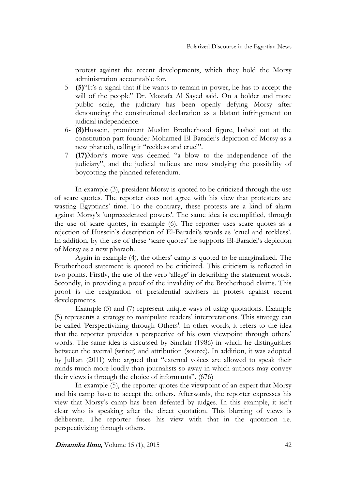protest against the recent developments, which they hold the Morsy administration accountable for.

- 5- **(5)**"It's a signal that if he wants to remain in power, he has to accept the will of the people" Dr. Mostafa Al Sayed said. On a bolder and more public scale, the judiciary has been openly defying Morsy after denouncing the constitutional declaration as a blatant infringement on judicial independence.
- 6- **(8)**Hussein, prominent Muslim Brotherhood figure, lashed out at the constitution part founder Mohamed El-Baradei's depiction of Morsy as a new pharaoh, calling it "reckless and cruel".
- 7- **(17)**Mory's move was deemed "a blow to the independence of the judiciary", and the judicial milieus are now studying the possibility of boycotting the planned referendum.

In example (3), president Morsy is quoted to be criticized through the use of scare quotes. The reporter does not agree with his view that protesters are wasting Egyptians' time. To the contrary, these protests are a kind of alarm against Morsy's 'unprecedented powers'. The same idea is exemplified, through the use of scare quotes, in example (6). The reporter uses scare quotes as a rejection of Hussein's description of El-Baradei's words as 'cruel and reckless'. In addition, by the use of these 'scare quotes' he supports El-Baradei's depiction of Morsy as a new pharaoh.

Again in example (4), the others' camp is quoted to be marginalized. The Brotherhood statement is quoted to be criticized. This criticism is reflected in two points. Firstly, the use of the verb 'allege' in describing the statement words. Secondly, in providing a proof of the invalidity of the Brotherhood claims. This proof is the resignation of presidential advisers in protest against recent developments.

Example (5) and (7) represent unique ways of using quotations. Example (5) represents a strategy to manipulate readers' interpretations. This strategy can be called 'Perspectivizing through Others'. In other words, it refers to the idea that the reporter provides a perspective of his own viewpoint through others' words. The same idea is discussed by Sinclair (1986) in which he distinguishes between the averral (writer) and attribution (source). In addition, it was adopted by Jullian (2011) who argued that "external voices are allowed to speak their minds much more loudly than journalists so away in which authors may convey their views is through the choice of informants". (676)

In example (5), the reporter quotes the viewpoint of an expert that Morsy and his camp have to accept the others. Afterwards, the reporter expresses his view that Morsy's camp has been defeated by judges. In this example, it isn't clear who is speaking after the direct quotation. This blurring of views is deliberate. The reporter fuses his view with that in the quotation i.e. perspectivizing through others.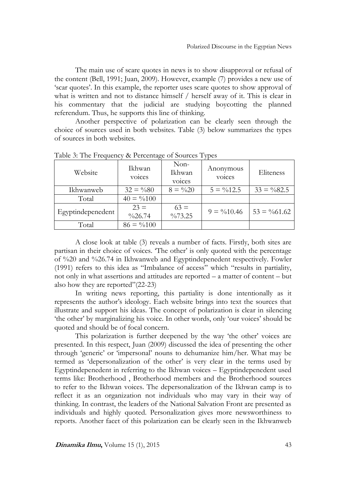The main use of scare quotes in news is to show disapproval or refusal of the content (Bell, 1991; Juan, 2009). However, example (7) provides a new use of 'scar quotes'. In this example, the reporter uses scare quotes to show approval of what is written and not to distance himself / herself away of it. This is clear in his commentary that the judicial are studying boycotting the planned referendum. Thus, he supports this line of thinking.

Another perspective of polarization can be clearly seen through the choice of sources used in both websites. Table (3) below summarizes the types of sources in both websites.

| Website           | Ikhwan<br>voices            | $Non-$<br>Ikhwan<br>voices   | Anonymous<br><b>VOICES</b> | Eliteness              |
|-------------------|-----------------------------|------------------------------|----------------------------|------------------------|
| Ikhwanweb         | $32 = \%80$                 | $8 = \frac{0}{20}$           | $5 = \frac{9}{612.5}$      | $33 = \frac{9}{82.5}$  |
| Total             | $40 = \frac{9}{0100}$       |                              |                            |                        |
| Egyptindepenedent | $23 =$<br>$\frac{0}{26.74}$ | $63 =$<br>$\frac{0}{0}73.25$ | $9 = \frac{0}{0.10.46}$    | $53 = \frac{9}{61.62}$ |
| Total             | $86 = \frac{9}{0100}$       |                              |                            |                        |

Table 3: The Frequency & Percentage of Sources Types

A close look at table (3) reveals a number of facts. Firstly, both sites are partisan in their choice of voices. 'The other' is only quoted with the percentage of %20 and %26.74 in Ikhwanweb and Egyptindepenedent respectively. Fowler (1991) refers to this idea as "Imbalance of access" which "results in partiality, not only in what assertions and attitudes are reported – a matter of content – but also how they are reported"(22-23)

In writing news reporting, this partiality is done intentionally as it represents the author's ideology. Each website brings into text the sources that illustrate and support his ideas. The concept of polarization is clear in silencing 'the other' by marginalizing his voice. In other words, only 'our voices' should be quoted and should be of focal concern.

This polarization is further deepened by the way 'the other' voices are presented. In this respect, Juan (2009) discussed the idea of presenting the other through 'generic' or 'impersonal' nouns to dehumanize him/her. What may be termed as 'depersonalization of the other' is very clear in the terms used by Egyptindepenedent in referring to the Ikhwan voices – Egyptindepenedent used terms like: Brotherhood , Brotherhood members and the Brotherhood sources to refer to the Ikhwan voices. The depersonalization of the Ikhwan camp is to reflect it as an organization not individuals who may vary in their way of thinking. In contrast, the leaders of the National Salvation Front are presented as individuals and highly quoted. Personalization gives more newsworthiness to reports. Another facet of this polarization can be clearly seen in the Ikhwanweb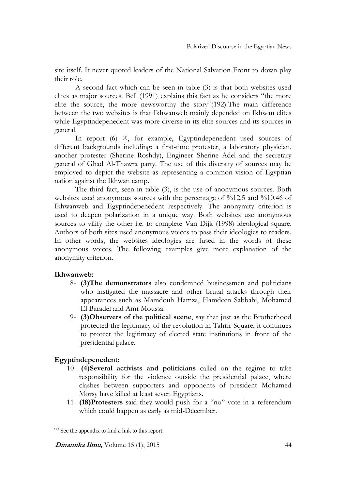site itself. It never quoted leaders of the National Salvation Front to down play their role.

A second fact which can be seen in table (3) is that both websites used elites as major sources. Bell (1991) explains this fact as he considers "the more elite the source, the more newsworthy the story"(192).The main difference between the two websites is that Ikhwanweb mainly depended on Ikhwan elites while Egyptindepenedent was more diverse in its elite sources and its sources in general.

In report (6) (3), for example, Egyptindepenedent used sources of different backgrounds including: a first-time protester, a laboratory physician, another protester (Sherine Roshdy), Engineer Sherine Adel and the secretary general of Ghad Al-Thawra party. The use of this diversity of sources may be employed to depict the website as representing a common vision of Egyptian nation against the Ikhwan camp.

The third fact, seen in table (3), is the use of anonymous sources. Both websites used anonymous sources with the percentage of %12.5 and %10.46 of Ikhwanweb and Egyptindepenedent respectively. The anonymity criterion is used to deepen polarization in a unique way. Both websites use anonymous sources to vilify the other i.e. to complete Van Dijk (1998) ideological square. Authors of both sites used anonymous voices to pass their ideologies to readers. In other words, the websites ideologies are fused in the words of these anonymous voices. The following examples give more explanation of the anonymity criterion.

# **Ikhwanweb:**

- 8- **(3)The demonstrators** also condemned businessmen and politicians who instigated the massacre and other brutal attacks through their appearances such as Mamdouh Hamza, Hamdeen Sabbahi, Mohamed El Baradei and Amr Moussa.
- 9- **(3)Observers of the political scene**, say that just as the Brotherhood protected the legitimacy of the revolution in Tahrir Square, it continues to protect the legitimacy of elected state institutions in front of the presidential palace.

# **Egyptindepenedent:**

 $\overline{a}$ 

- 10- **(4)Several activists and politicians** called on the regime to take responsibility for the violence outside the presidential palace, where clashes between supporters and opponents of president Mohamed Morsy have killed at least seven Egyptians.
- 11- **(18)Protesters** said they would push for a "no" vote in a referendum which could happen as early as mid-December.

 $^{(3)}$  See the appendix to find a link to this report.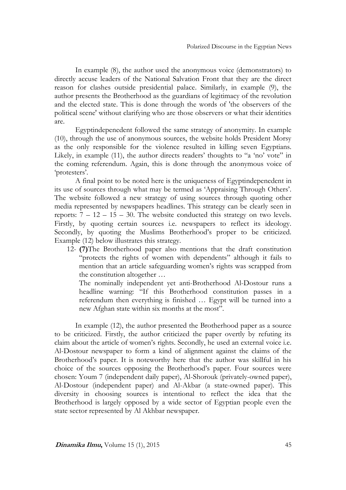In example (8), the author used the anonymous voice (demonstrators) to directly accuse leaders of the National Salvation Front that they are the direct reason for clashes outside presidential palace. Similarly, in example (9), the author presents the Brotherhood as the guardians of legitimacy of the revolution and the elected state. This is done through the words of 'the observers of the political scene' without clarifying who are those observers or what their identities are.

Egyptindepenedent followed the same strategy of anonymity. In example (10), through the use of anonymous sources, the website holds President Morsy as the only responsible for the violence resulted in killing seven Egyptians. Likely, in example (11), the author directs readers' thoughts to "a 'no' vote" in the coming referendum. Again, this is done through the anonymous voice of 'protesters'.

A final point to be noted here is the uniqueness of Egyptindepenedent in its use of sources through what may be termed as 'Appraising Through Others'. The website followed a new strategy of using sources through quoting other media represented by newspapers headlines. This strategy can be clearly seen in reports:  $7 - 12 - 15 - 30$ . The website conducted this strategy on two levels. Firstly, by quoting certain sources i.e. newspapers to reflect its ideology. Secondly, by quoting the Muslims Brotherhood's proper to be criticized. Example (12) below illustrates this strategy.

12- **(7)**The Brotherhood paper also mentions that the draft constitution "protects the rights of women with dependents" although it fails to mention that an article safeguarding women's rights was scrapped from the constitution altogether …

The nominally independent yet anti-Brotherhood Al-Dostour runs a headline warning: "If this Brotherhood constitution passes in a referendum then everything is finished … Egypt will be turned into a new Afghan state within six months at the most".

In example (12), the author presented the Brotherhood paper as a source to be criticized. Firstly, the author criticized the paper overtly by refuting its claim about the article of women's rights. Secondly, he used an external voice i.e. Al-Dostour newspaper to form a kind of alignment against the claims of the Brotherhood's paper. It is noteworthy here that the author was skillful in his choice of the sources opposing the Brotherhood's paper. Four sources were chosen: Youm 7 (independent daily paper), Al-Shorouk (privately-owned paper), Al-Dostour (independent paper) and Al-Akbar (a state-owned paper). This diversity in choosing sources is intentional to reflect the idea that the Brotherhood is largely opposed by a wide sector of Egyptian people even the state sector represented by Al Akhbar newspaper.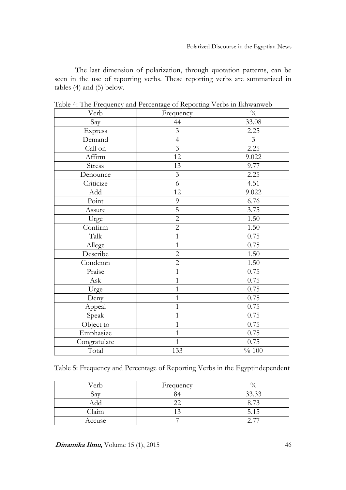The last dimension of polarization, through quotation patterns, can be seen in the use of reporting verbs. These reporting verbs are summarized in tables (4) and (5) below.

| Verb                 | Frequency      | $\frac{0}{0}$  |
|----------------------|----------------|----------------|
| Say                  | 44             | 33.08          |
| Express              | $\overline{3}$ | 2.25           |
| Demand               | $\overline{4}$ | $\overline{3}$ |
| Call on              | $\overline{3}$ | 2.25           |
| Affirm               | 12             | 9.022          |
| Stress               | 13             | 9.77           |
| Denounce             | $\mathfrak{Z}$ | 2.25           |
| Criticize            | 6              | 4.51           |
| Add                  | 12             | 9.022          |
| Point                | 9              | 6.76           |
| Assure               | 5              | 3.75           |
| Urge                 | $\overline{2}$ | 1.50           |
| Confirm              | $\overline{2}$ | 1.50           |
| Talk                 | $\mathbf{1}$   | 0.75           |
| Allege               | $\mathbf{1}$   | 0.75           |
| Describe             | $\overline{2}$ | 1.50           |
| Condemn              | $\overline{2}$ | 1.50           |
| Praise               | $\mathbf{1}$   | 0.75           |
| $\operatorname{Ask}$ | $\mathbf{1}$   | 0.75           |
| Urge                 | $\mathbf{1}$   | 0.75           |
| Deny                 | $\mathbf{1}$   | 0.75           |
| Appeal               | $\mathbf{1}$   | 0.75           |
| Speak                | $\mathbf{1}$   | 0.75           |
| Object to            | $\mathbf{1}$   | 0.75           |
| Emphasize            | $\mathbf{1}$   | 0.75           |
| Congratulate         | $\mathbf{1}$   | 0.75           |
| Total                | 133            | $\%$ 100       |

Table 4: The Frequency and Percentage of Reporting Verbs in Ikhwanweb

Table 5: Frequency and Percentage of Reporting Verbs in the Egyptindependent

| Verb   | Frequency |            |
|--------|-----------|------------|
| Sа     |           | 33.33      |
| Add    |           | $1 \wedge$ |
| Claim  |           | 5.15       |
| Accuse |           |            |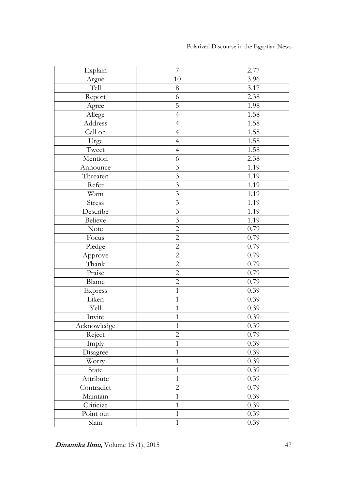| Explain        | $\overline{7}$          | 2.77 |
|----------------|-------------------------|------|
| Argue          | 10                      | 3.96 |
| Tell           | 8                       | 3.17 |
| Report         | 6                       | 2.38 |
| Agree          | 5                       | 1.98 |
| Allege         | $\overline{4}$          | 1.58 |
| Address        | $\overline{4}$          | 1.58 |
| Call on        | $\overline{4}$          | 1.58 |
| Urge           | $\overline{4}$          | 1.58 |
| Tweet          | $\overline{4}$          | 1.58 |
| Mention        | 6                       | 2.38 |
| Announce       | $\mathfrak{Z}$          | 1.19 |
| Threaten       | $\mathfrak{Z}$          | 1.19 |
| Refer          | $\mathfrak{Z}$          | 1.19 |
| Warn           | $\overline{3}$          | 1.19 |
| Stress         | $\mathfrak{Z}$          | 1.19 |
| Describe       | $\overline{\mathbf{3}}$ | 1.19 |
| Believe        | $\overline{3}$          | 1.19 |
| <b>Note</b>    | $\overline{2}$          | 0.79 |
| Focus          | $\mathbf{2}$            | 0.79 |
| Pledge         | $\mathbf{2}$            | 0.79 |
| Approve        | $\overline{2}$          | 0.79 |
| Thank          | $\overline{2}$          | 0.79 |
| Praise         | $\overline{2}$          | 0.79 |
| Blame          | $\mathbf{2}$            | 0.79 |
| <b>Express</b> | $\mathbf{1}$            | 0.39 |
| Liken          | $\mathbf{1}$            | 0.39 |
| Yell           | $\mathbf{1}$            | 0.39 |
| Invite         | $\mathbf{1}$            | 0.39 |
| Acknowledge    | $\mathbf{1}$            | 0.39 |
| Reject         | $\overline{2}$          | 0.79 |
| Imply          | $\mathbf{1}$            | 0.39 |
| Disagree       | $\mathbf{1}$            | 0.39 |
| Worry          | $\mathbf{1}$            | 0.39 |
| State          | $\mathbf{1}$            | 0.39 |
| Attribute      | $\mathbf{1}$            | 0.39 |
| Contradict     | $\overline{2}$          | 0.79 |
| Maintain       | $\mathbf{1}$            | 0.39 |
| Criticize      | $\mathbf{1}$            | 0.39 |
| Point out      | $\mathbf{1}$            | 0.39 |
| Slam           | $\mathbf{1}$            | 0.39 |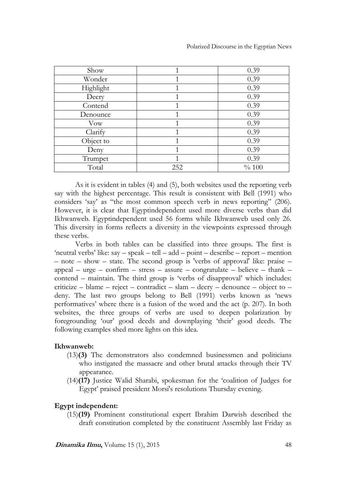Polarized Discourse in the Egyptian News

| Show       |     | 0.39     |
|------------|-----|----------|
| Wonder     |     | 0.39     |
| Highlight  |     | 0.39     |
| Decry      |     | 0.39     |
| Contend    |     | 0.39     |
| Denounce   |     | 0.39     |
| <b>Vow</b> |     | 0.39     |
| Clarify    |     | 0.39     |
| Object to  |     | 0.39     |
| Deny       |     | 0.39     |
| Trumpet    |     | 0.39     |
| Total      | 252 | $\% 100$ |

As it is evident in tables (4) and (5), both websites used the reporting verb say with the highest percentage. This result is consistent with Bell (1991) who considers 'say' as "the most common speech verb in news reporting" (206). However, it is clear that Egyptindependent used more diverse verbs than did Ikhwanweb. Egyptindependent used 56 forms while Ikhwanweb used only 26. This diversity in forms reflects a diversity in the viewpoints expressed through these verbs.

Verbs in both tables can be classified into three groups. The first is 'neutral verbs' like: say – speak – tell – add – point – describe – report – mention – note – show – state. The second group is 'verbs of approval' like: praise – appeal – urge – confirm – stress – assure – congratulate – believe – thank – contend – maintain. The third group is 'verbs of disapproval' which includes: criticize – blame – reject – contradict – slam – decry – denounce – object to – deny. The last two groups belong to Bell (1991) verbs known as 'news performatives' where there is a fusion of the word and the act (p. 207). In both websites, the three groups of verbs are used to deepen polarization by foregrounding 'our' good deeds and downplaying 'their' good deeds. The following examples shed more lights on this idea.

# **Ikhwanweb:**

- (13)**(3)** The demonstrators also condemned businessmen and politicians who instigated the massacre and other brutal attacks through their TV appearance.
- (14)**(17)** Justice Walid Sharabi, spokesman for the 'coalition of Judges for Egypt' praised president Morsi's resolutions Thursday evening.

# **Egypt independent:**

(15)**(19)** Prominent constitutional expert Ibrahim Darwish described the draft constitution completed by the constituent Assembly last Friday as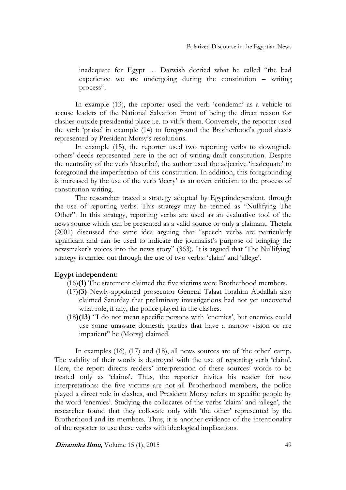inadequate for Egypt … Darwish decried what he called "the bad experience we are undergoing during the constitution – writing process".

In example (13), the reporter used the verb 'condemn' as a vehicle to accuse leaders of the National Salvation Front of being the direct reason for clashes outside presidential place i.e. to vilify them. Conversely, the reporter used the verb 'praise' in example (14) to foreground the Brotherhood's good deeds represented by President Morsy's resolutions.

In example (15), the reporter used two reporting verbs to downgrade others' deeds represented here in the act of writing draft constitution. Despite the neutrality of the verb 'describe', the author used the adjective 'inadequate' to foreground the imperfection of this constitution. In addition, this foregrounding is increased by the use of the verb 'decry' as an overt criticism to the process of constitution writing.

The researcher traced a strategy adopted by Egyptindependent, through the use of reporting verbs. This strategy may be termed as "Nullifying The Other". In this strategy, reporting verbs are used as an evaluative tool of the news source which can be presented as a valid source or only a claimant. Thetela (2001) discussed the same idea arguing that "speech verbs are particularly significant and can be used to indicate the journalist's purpose of bringing the newsmaker's voices into the news story" (363). It is argued that 'The Nullifying' strategy is carried out through the use of two verbs: 'claim' and 'allege'.

#### **Egypt independent:**

- (16)**(1)** The statement claimed the five victims were Brotherhood members.
- (17)**(3)** Newly-appointed prosecutor General Talaat Ibrahim Abdallah also claimed Saturday that preliminary investigations had not yet uncovered what role, if any, the police played in the clashes.
- (18**)(13)** "I do not mean specific persons with 'enemies', but enemies could use some unaware domestic parties that have a narrow vision or are impatient" he (Morsy) claimed.

In examples (16), (17) and (18), all news sources are of 'the other' camp. The validity of their words is destroyed with the use of reporting verb 'claim'. Here, the report directs readers' interpretation of these sources' words to be treated only as 'claims'. Thus, the reporter invites his reader for new interpretations: the five victims are not all Brotherhood members, the police played a direct role in clashes, and President Morsy refers to specific people by the word 'enemies'. Studying the collocates of the verbs 'claim' and 'allege', the researcher found that they collocate only with 'the other' represented by the Brotherhood and its members. Thus, it is another evidence of the intentionality of the reporter to use these verbs with ideological implications.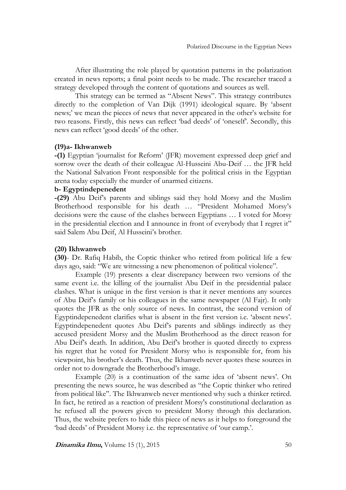After illustrating the role played by quotation patterns in the polarization created in news reports; a final point needs to be made. The researcher traced a strategy developed through the content of quotations and sources as well.

This strategy can be termed as "Absent News". This strategy contributes directly to the completion of Van Dijk (1991) ideological square. By 'absent news;' we mean the pieces of news that never appeared in the other's website for two reasons. Firstly, this news can reflect 'bad deeds' of 'oneself'. Secondly, this news can reflect 'good deeds' of the other.

#### **(19)a- Ikhwanweb**

**-(1)** Egyptian 'journalist for Reform' (JFR) movement expressed deep grief and sorrow over the death of their colleague Al-Husseini Abu-Deif … the JFR held the National Salvation Front responsible for the political crisis in the Egyptian arena today especially the murder of unarmed citizens.

#### **b- Egyptindepenedent**

**-(29)** Abu Deif's parents and siblings said they hold Morsy and the Muslim Brotherhood responsible for his death … "President Mohamed Morsy's decisions were the cause of the clashes between Egyptians … I voted for Morsy in the presidential election and I announce in front of everybody that I regret it" said Salem Abu Deif, Al Husseini's brother.

#### **(20) Ikhwanweb**

**(30)**- Dr. Rafiq Habib, the Coptic thinker who retired from political life a few days ago, said: "We are witnessing a new phenomenon of political violence".

Example (19) presents a clear discrepancy between two versions of the same event i.e. the killing of the journalist Abu Deif in the presidential palace clashes. What is unique in the first version is that it never mentions any sources of Abu Deif's family or his colleagues in the same newspaper (Al Fajr). It only quotes the JFR as the only source of news. In contrast, the second version of Egyptindepenedent clarifies what is absent in the first version i.e. 'absent news'. Egyptindepenedent quotes Abu Deif's parents and siblings indirectly as they accused president Morsy and the Muslim Brotherhood as the direct reason for Abu Deif's death. In addition, Abu Deif's brother is quoted directly to express his regret that he voted for President Morsy who is responsible for, from his viewpoint, his brother's death. Thus, the Ikhanweb never quotes these sources in order not to downgrade the Brotherhood's image.

Example (20) is a continuation of the same idea of 'absent news'. On presenting the news source, he was described as "the Coptic thinker who retired from political like". The Ikhwanweb never mentioned why such a thinker retired. In fact, he retired as a reaction of president Morsy's constitutional declaration as he refused all the powers given to president Morsy through this declaration. Thus, the website prefers to hide this piece of news as it helps to foreground the 'bad deeds' of President Morsy i.e. the representative of 'our camp.'.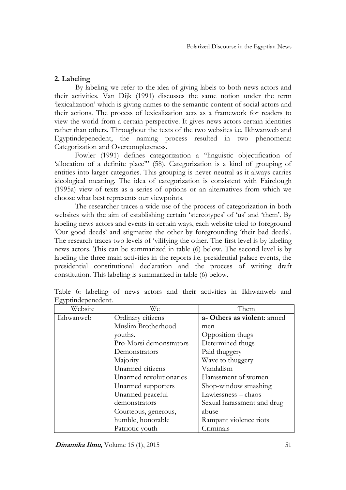# **2. Labeling**

By labeling we refer to the idea of giving labels to both news actors and their activities. Van Dijk (1991) discusses the same notion under the term 'lexicalization' which is giving names to the semantic content of social actors and their actions. The process of lexicalization acts as a framework for readers to view the world from a certain perspective. It gives news actors certain identities rather than others. Throughout the texts of the two websites i.e. Ikhwanweb and Egyptindepenedent, the naming process resulted in two phenomena: Categorization and Overcompleteness.

Fowler (1991) defines categorization a "linguistic objectification of 'allocation of a definite place'" (58). Categorization is a kind of grouping of entities into larger categories. This grouping is never neutral as it always carries ideological meaning. The idea of categorization is consistent with Fairclough (1995a) view of texts as a series of options or an alternatives from which we choose what best represents our viewpoints.

The researcher traces a wide use of the process of categorization in both websites with the aim of establishing certain 'stereotypes' of 'us' and 'them'. By labeling news actors and events in certain ways, each website tried to foreground 'Our good deeds' and stigmatize the other by foregrounding 'their bad deeds'. The research traces two levels of 'vilifying the other. The first level is by labeling news actors. This can be summarized in table (6) below. The second level is by labeling the three main activities in the reports i.e. presidential palace events, the presidential constitutional declaration and the process of writing draft constitution. This labeling is summarized in table (6) below.

| Website   | We                      | Them                        |
|-----------|-------------------------|-----------------------------|
| Ikhwanweb | Ordinary citizens       | a- Others as violent: armed |
|           | Muslim Brotherhood      | men                         |
|           | youths.                 | <b>Opposition thugs</b>     |
|           | Pro-Morsi demonstrators | Determined thugs            |
|           | Demonstrators           | Paid thuggery               |
|           | Majority                | Wave to thuggery            |
|           | Unarmed citizens        | Vandalism                   |
|           | Unarmed revolutionaries | Harassment of women         |
|           | Unarmed supporters      | Shop-window smashing        |
|           | Unarmed peaceful        | Lawlessness - chaos         |
|           | demonstrators           | Sexual harassment and drug  |
|           | Courteous, generous,    | abuse                       |
|           | humble, honorable       | Rampant violence riots      |
|           | Patriotic youth         | Criminals                   |

Table 6: labeling of news actors and their activities in Ikhwanweb and Egyptindepenedent.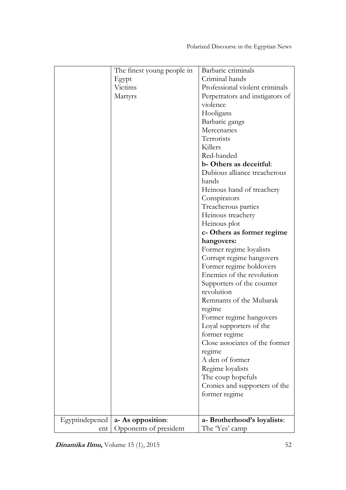|                | The finest young people in | Barbaric criminals              |
|----------------|----------------------------|---------------------------------|
|                | Egypt                      | Criminal hands                  |
|                | Victims                    | Professional violent criminals  |
|                | Martyrs                    | Perpetrators and instigators of |
|                |                            | violence                        |
|                |                            | Hooligans                       |
|                |                            | Barbaric gangs                  |
|                |                            | Mercenaries                     |
|                |                            | Terrorists                      |
|                |                            | Killers                         |
|                |                            | Red-handed                      |
|                |                            | b-Others as deceitful:          |
|                |                            | Dubious alliance treacherous    |
|                |                            | hands                           |
|                |                            | Heinous hand of treachery       |
|                |                            | Conspirators                    |
|                |                            |                                 |
|                |                            | Treacherous parties             |
|                |                            | Heinous treachery               |
|                |                            | Heinous plot                    |
|                |                            | c-Others as former regime       |
|                |                            | hangovers:                      |
|                |                            | Former regime loyalists         |
|                |                            | Corrupt regime hangovers        |
|                |                            | Former regime holdovers         |
|                |                            | Enemies of the revolution       |
|                |                            | Supporters of the counter       |
|                |                            | revolution                      |
|                |                            | Remnants of the Mubarak         |
|                |                            | regime                          |
|                |                            | Former regime hangovers         |
|                |                            | Loyal supporters of the         |
|                |                            | former regime                   |
|                |                            | Close associates of the former  |
|                |                            | regime                          |
|                |                            | A den of former                 |
|                |                            | Regime loyalists                |
|                |                            | The coup hopefuls               |
|                |                            | Cronies and supporters of the   |
|                |                            | former regime                   |
|                |                            |                                 |
|                |                            |                                 |
| Egyptindepened | a- As opposition:          | a- Brotherhood's loyalists:     |
| ent            | Opponents of president     | The 'Yes' camp                  |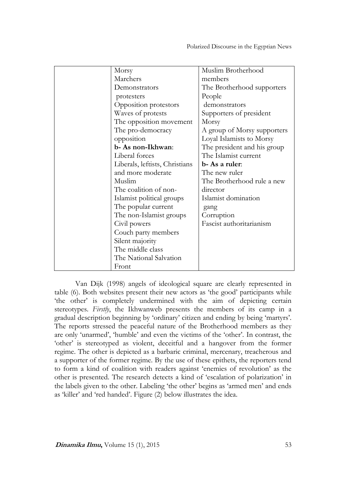| Morsy                          | Muslim Brotherhood          |
|--------------------------------|-----------------------------|
| Marchers                       | members                     |
| Demonstrators                  | The Brotherhood supporters  |
| protesters                     | People                      |
| Opposition protestors          | demonstrators               |
| Waves of protests              | Supporters of president     |
| The opposition movement        | Morsy                       |
| The pro-democracy              | A group of Morsy supporters |
| opposition                     | Loyal Islamists to Morsy    |
| b- As non-Ikhwan:              | The president and his group |
| Liberal forces                 | The Islamist current        |
| Liberals, leftists, Christians | b- As a ruler:              |
| and more moderate              | The new ruler               |
| Muslim                         | The Brotherhood rule a new  |
| The coalition of non-          | director                    |
| Islamist political groups      | Islamist domination         |
| The popular current            | gang                        |
| The non-Islamist groups        | Corruption                  |
| Civil powers                   | Fascist authoritarianism    |
| Couch party members            |                             |
| Silent majority                |                             |
| The middle class               |                             |
| The National Salvation         |                             |
| Front                          |                             |

Van Dijk (1998) angels of ideological square are clearly represented in table (6). Both websites present their new actors as 'the good' participants while 'the other' is completely undermined with the aim of depicting certain stereotypes. *Firstly*, the Ikhwanweb presents the members of its camp in a gradual description beginning by 'ordinary' citizen and ending by being 'martyrs'. The reports stressed the peaceful nature of the Brotherhood members as they are only 'unarmed', 'humble' and even the victims of the 'other'. In contrast, the 'other' is stereotyped as violent, deceitful and a hangover from the former regime. The other is depicted as a barbaric criminal, mercenary, treacherous and a supporter of the former regime. By the use of these epithets, the reporters tend to form a kind of coalition with readers against 'enemies of revolution' as the other is presented. The research detects a kind of 'escalation of polarization' in the labels given to the other. Labeling 'the other' begins as 'armed men' and ends as 'killer' and 'red handed'. Figure (2) below illustrates the idea.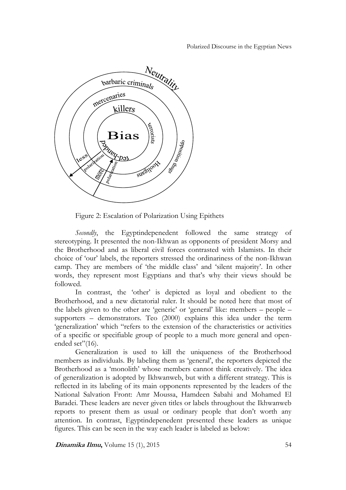#### Polarized Discourse in the Egyptian News



Figure 2: Escalation of Polarization Using Epithets

*Secondly*, the Egyptindepenedent followed the same strategy of stereotyping. It presented the non-Ikhwan as opponents of president Morsy and the Brotherhood and as liberal civil forces contrasted with Islamists. In their choice of 'our' labels, the reporters stressed the ordinariness of the non-Ikhwan camp. They are members of 'the middle class' and 'silent majority'. In other words, they represent most Egyptians and that's why their views should be followed.

In contrast, the 'other' is depicted as loyal and obedient to the Brotherhood, and a new dictatorial ruler. It should be noted here that most of the labels given to the other are 'generic' or 'general' like: members – people – supporters – demonstrators. Teo (2000) explains this idea under the term 'generalization' which "refers to the extension of the characteristics or activities of a specific or specifiable group of people to a much more general and openended set"(16).

Generalization is used to kill the uniqueness of the Brotherhood members as individuals. By labeling them as 'general', the reporters depicted the Brotherhood as a 'monolith' whose members cannot think creatively. The idea of generalization is adopted by Ikhwanweb, but with a different strategy. This is reflected in its labeling of its main opponents represented by the leaders of the National Salvation Front: Amr Moussa, Hamdeen Sabahi and Mohamed El Baradei. These leaders are never given titles or labels throughout the Ikhwanweb reports to present them as usual or ordinary people that don't worth any attention. In contrast, Egyptindepenedent presented these leaders as unique figures. This can be seen in the way each leader is labeled as below: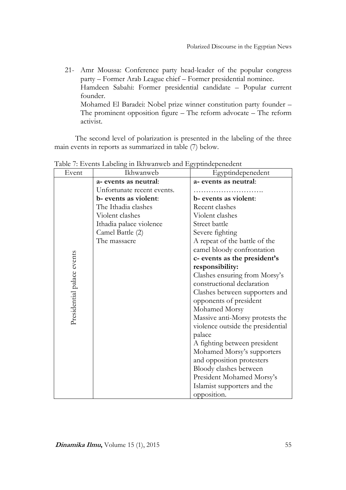21- Amr Moussa: Conference party head-leader of the popular congress party – Former Arab League chief – Former presidential nominee. Hamdeen Sabahi: Former presidential candidate – Popular current founder. Mohamed El Baradei: Nobel prize winner constitution party founder – The prominent opposition figure – The reform advocate – The reform activist.

The second level of polarization is presented in the labeling of the three main events in reports as summarized in table (7) below.

| Event                      | Ikhwanweb                  | Egyptindepenedent                 |
|----------------------------|----------------------------|-----------------------------------|
|                            | a- events as neutral:      | a- events as neutral:             |
|                            | Unfortunate recent events. |                                   |
|                            | b- events as violent:      | b- events as violent:             |
|                            | The Ithadia clashes        | Recent clashes                    |
|                            | Violent clashes            | Violent clashes                   |
|                            | Ithadia palace violence    | Street battle                     |
|                            | Camel Battle (2)           | Severe fighting                   |
|                            | The massacre               | A repeat of the battle of the     |
|                            |                            | camel bloody confrontation        |
|                            |                            | c- events as the president's      |
|                            |                            | responsibility:                   |
|                            |                            | Clashes ensuring from Morsy's     |
|                            |                            | constructional declaration        |
| Presidential palace events |                            | Clashes between supporters and    |
|                            |                            | opponents of president            |
|                            |                            | Mohamed Morsy                     |
|                            |                            | Massive anti-Morsy protests the   |
|                            |                            | violence outside the presidential |
|                            |                            | palace                            |
|                            |                            | A fighting between president      |
|                            |                            | Mohamed Morsy's supporters        |
|                            |                            | and opposition protesters         |
|                            |                            | Bloody clashes between            |
|                            |                            | President Mohamed Morsy's         |
|                            |                            | Islamist supporters and the       |
|                            |                            | opposition.                       |

Table 7: Events Labeling in Ikhwanweb and Egyptindepenedent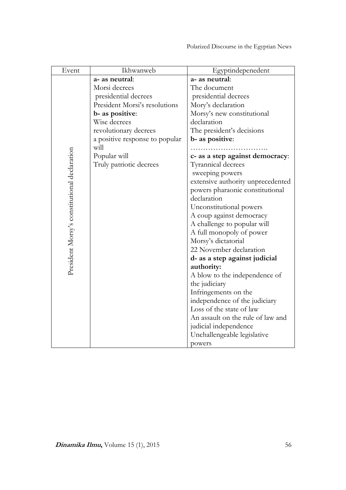| Event                                        | Ikhwanweb                      | Egyptindepenedent                                         |
|----------------------------------------------|--------------------------------|-----------------------------------------------------------|
|                                              | a- as neutral:                 | a- as neutral:                                            |
|                                              | Morsi decrees                  | The document                                              |
|                                              | presidential decrees           | presidential decrees                                      |
|                                              | President Morsi's resolutions  | Mory's declaration                                        |
|                                              | b- as positive:                | Morsy's new constitutional                                |
|                                              | Wise decrees                   | declaration                                               |
|                                              | revolutionary decrees          | The president's decisions                                 |
|                                              | a positive response to popular | b- as positive:                                           |
|                                              | will                           |                                                           |
|                                              | Popular will                   | c- as a step against democracy:                           |
|                                              | Truly patriotic decrees        | Tyrannical decrees                                        |
|                                              |                                | sweeping powers                                           |
|                                              |                                | extensive authority unprecedented                         |
|                                              |                                | powers pharaonic constitutional                           |
|                                              |                                | declaration                                               |
|                                              |                                | Unconstitutional powers                                   |
|                                              |                                | A coup against democracy                                  |
|                                              |                                | A challenge to popular will                               |
|                                              |                                | A full monopoly of power                                  |
|                                              |                                | Morsy's dictatorial                                       |
|                                              |                                | 22 November declaration                                   |
| President Morsy's constitutional declaration |                                | d- as a step against judicial                             |
|                                              |                                | authority:                                                |
|                                              |                                | A blow to the independence of                             |
|                                              |                                | the judiciary                                             |
|                                              |                                | Infringements on the                                      |
|                                              |                                | independence of the judiciary<br>Loss of the state of law |
|                                              |                                | An assault on the rule of law and                         |
|                                              |                                |                                                           |
|                                              |                                | judicial independence<br>Unchallengeable legislative      |
|                                              |                                |                                                           |
|                                              |                                | powers                                                    |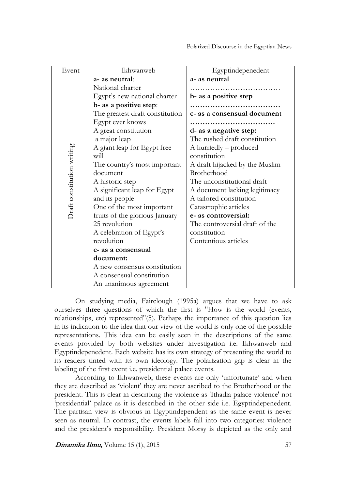| Event                      | Ikhwanweb                       | Egyptindepenedent              |
|----------------------------|---------------------------------|--------------------------------|
| Draft constitution writing | a- as neutral:                  | a- as neutral                  |
|                            | National charter                |                                |
|                            | Egypt's new national charter    | b- as a positive step          |
|                            | b- as a positive step:          |                                |
|                            | The greatest draft constitution | c- as a consensual document    |
|                            | Egypt ever knows                |                                |
|                            | A great constitution            | d- as a negative step:         |
|                            | a major leap                    | The rushed draft constitution  |
|                            | A giant leap for Egypt free     | A hurriedly – produced         |
|                            | will                            | constitution                   |
|                            | The country's most important    | A draft hijacked by the Muslim |
|                            | document                        | Brotherhood                    |
|                            | A historic step                 | The unconstitutional draft     |
|                            | A significant leap for Egypt    | A document lacking legitimacy  |
|                            | and its people                  | A tailored constitution        |
|                            | One of the most important       | Catastrophic articles          |
|                            | fruits of the glorious January  | e- as controversial:           |
|                            | 25 revolution                   | The controversial draft of the |
|                            | A celebration of Egypt's        | constitution                   |
|                            | revolution                      | Contentious articles           |
|                            | c- as a consensual              |                                |
|                            | document:                       |                                |
|                            | A new consensus constitution    |                                |
|                            | A consensual constitution       |                                |
|                            | An unanimous agreement          |                                |

On studying media, Fairclough (1995a) argues that we have to ask ourselves three questions of which the first is "How is the world (events, relationships, etc) represented"(5). Perhaps the importance of this question lies in its indication to the idea that our view of the world is only one of the possible representations. This idea can be easily seen in the descriptions of the same events provided by both websites under investigation i.e. Ikhwanweb and Egyptindepenedent. Each website has its own strategy of presenting the world to its readers tinted with its own ideology. The polarization gap is clear in the labeling of the first event i.e. presidential palace events.

According to Ikhwanweb, these events are only 'unfortunate' and when they are described as 'violent' they are never ascribed to the Brotherhood or the president. This is clear in describing the violence as 'Ithadia palace violence' not 'presidential' palace as it is described in the other side i.e. Egyptindepenedent. The partisan view is obvious in Egyptindependent as the same event is never seen as neutral. In contrast, the events labels fall into two categories: violence and the president's responsibility. President Morsy is depicted as the only and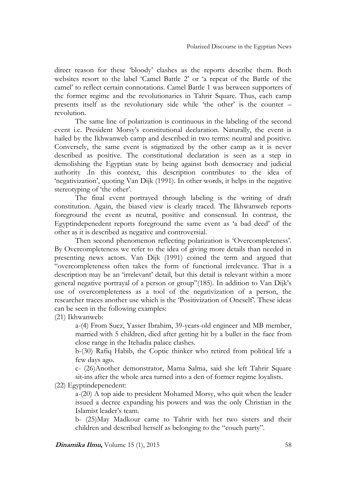direct reason for these 'bloody' clashes as the reports describe them. Both websites resort to the label 'Camel Battle 2' or 'a repeat of the Battle of the camel' to reflect certain connotations. Camel Battle 1 was between supporters of the former regime and the revolutionaries in Tahrir Square. Thus, each camp presents itself as the revolutionary side while 'the other' is the counter – revolution.

The same line of polarization is continuous in the labeling of the second event i.e. President Morsy's constitutional declaration. Naturally, the event is hailed by the Ikhwanweb camp and described in two terms: neutral and positive. Conversely, the same event is stigmatized by the other camp as it is never described as positive. The constitutional declaration is seen as a step in demolishing the Egyptian state by being against both democracy and judicial authority .In this context, this description contributes to the idea of 'negativization', quoting Van Dijk (1991). In other words, it helps in the negative stereotyping of 'the other'.

The final event portrayed through labeling is the writing of draft constitution. Again, the biased view is clearly traced. The Ikhwanweb reports foreground the event as neutral, positive and consensual. In contrast, the Egyptindepenedent reports foreground the same event as 'a bad deed' of the other as it is described as negative and controversial.

Then second phenomenon reflecting polarization is 'Overcompleteness'. By Overcompleteness we refer to the idea of giving more details than needed in presenting news actors. Van Dijk (1991) coined the term and argued that "overcompleteness often takes the form of functional irrelevance. That is a description may be an 'irrelevant' detail, but this detail is relevant within a more general negative portrayal of a person or group"(185). In addition to Van Dijk's use of overcompleteness as a tool of the negativization of a person, the researcher traces another use which is the 'Positivization of Oneself'. These ideas can be seen in the following examples:

(21) Ikhwanweb:

a-(4) From Suez, Yasser Ibrahim, 39-years-old engineer and MB member, married with 5 children, died after getting hit by a bullet in the face from close range in the Itehadia palace clashes.

b-(30) Rafiq Habib, the Coptic thinker who retired from political life a few days ago.

c- (26)Another demonstrator, Mama Salma, said she left Tahrir Square sit-ins after the whole area turned into a den of former regime loyalists.

(22) Egyptindepenedent:

a-(20) A top aide to president Mohamed Morsy, who quit when the leader issued a decree expanding his powers and was the only Christian in the Islamist leader's team.

b- (25)May Madkour came to Tahrir with her two sisters and their children and described herself as belonging to the "couch party".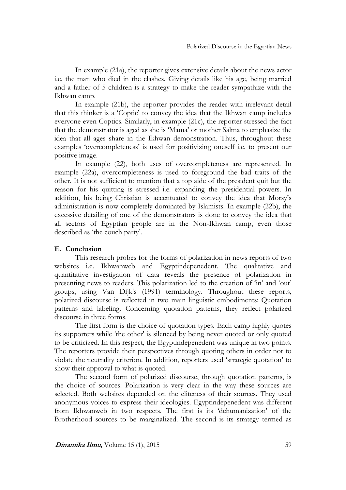In example (21a), the reporter gives extensive details about the news actor i.e. the man who died in the clashes. Giving details like his age, being married and a father of 5 children is a strategy to make the reader sympathize with the Ikhwan camp.

In example (21b), the reporter provides the reader with irrelevant detail that this thinker is a 'Coptic' to convey the idea that the Ikhwan camp includes everyone even Coptics. Similarly, in example (21c), the reporter stressed the fact that the demonstrator is aged as she is 'Mama' or mother Salma to emphasize the idea that all ages share in the Ikhwan demonstration. Thus, throughout these examples 'overcompleteness' is used for positivizing oneself i.e. to present our positive image.

In example (22), both uses of overcompleteness are represented. In example (22a), overcompleteness is used to foreground the bad traits of the other. It is not sufficient to mention that a top aide of the president quit but the reason for his quitting is stressed i.e. expanding the presidential powers. In addition, his being Christian is accentuated to convey the idea that Morsy's administration is now completely dominated by Islamists. In example (22b), the excessive detailing of one of the demonstrators is done to convey the idea that all sectors of Egyptian people are in the Non-Ikhwan camp, even those described as 'the couch party'.

# **E. Conclusion**

This research probes for the forms of polarization in news reports of two websites i.e. Ikhwanweb and Egyptindepenedent. The qualitative and quantitative investigation of data reveals the presence of polarization in presenting news to readers. This polarization led to the creation of 'in' and 'out' groups, using Van Dijk's (1991) terminology. Throughout these reports, polarized discourse is reflected in two main linguistic embodiments: Quotation patterns and labeling. Concerning quotation patterns, they reflect polarized discourse in three forms.

The first form is the choice of quotation types. Each camp highly quotes its supporters while 'the other' is silenced by being never quoted or only quoted to be criticized. In this respect, the Egyptindepenedent was unique in two points. The reporters provide their perspectives through quoting others in order not to violate the neutrality criterion. In addition, reporters used 'strategic quotation' to show their approval to what is quoted.

The second form of polarized discourse, through quotation patterns, is the choice of sources. Polarization is very clear in the way these sources are selected. Both websites depended on the eliteness of their sources. They used anonymous voices to express their ideologies. Egyptindepenedent was different from Ikhwanweb in two respects. The first is its 'dehumanization' of the Brotherhood sources to be marginalized. The second is its strategy termed as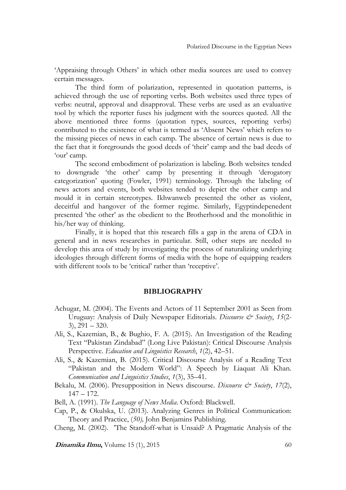'Appraising through Others' in which other media sources are used to convey certain messages.

The third form of polarization, represented in quotation patterns, is achieved through the use of reporting verbs. Both websites used three types of verbs: neutral, approval and disapproval. These verbs are used as an evaluative tool by which the reporter fuses his judgment with the sources quoted. All the above mentioned three forms (quotation types, sources, reporting verbs) contributed to the existence of what is termed as 'Absent News' which refers to the missing pieces of news in each camp. The absence of certain news is due to the fact that it foregrounds the good deeds of 'their' camp and the bad deeds of 'our' camp.

The second embodiment of polarization is labeling. Both websites tended to downgrade 'the other' camp by presenting it through 'derogatory categorization' quoting (Fowler, 1991) terminology. Through the labeling of news actors and events, both websites tended to depict the other camp and mould it in certain stereotypes. Ikhwanweb presented the other as violent, deceitful and hangover of the former regime. Similarly, Egyptindepenedent presented 'the other' as the obedient to the Brotherhood and the monolithic in his/her way of thinking.

Finally, it is hoped that this research fills a gap in the arena of CDA in general and in news researches in particular. Still, other steps are needed to develop this area of study by investigating the process of naturalizing underlying ideologies through different forms of media with the hope of equipping readers with different tools to be 'critical' rather than 'receptive'.

#### **BIBLIOGRAPHY**

- Achugar, M. (2004). The Events and Actors of 11 September 2001 as Seen from Uruguay: Analysis of Daily Newspaper Editorials. *Discourse & Society*, *15*(2-  $3)$ ,  $291 - 320$ .
- Ali, S., Kazemian, B., & Bughio, F. A. (2015). An Investigation of the Reading Text "Pakistan Zindabad" (Long Live Pakistan): Critical Discourse Analysis Perspective. *Education and Linguistics Research*, *1*(2), 42–51.
- Ali, S., & Kazemian, B. (2015). Critical Discourse Analysis of a Reading Text "Pakistan and the Modern World": A Speech by Liaquat Ali Khan. *Communication and Linguistics Studies*, *1*(3), 35–41.
- Bekalu, M. (2006). Presupposition in News discourse. *Discourse & Society*, 17(2), 147 – 172.

Bell, A. (1991). *The Language of News Media*. Oxford: Blackwell.

Cap, P., & Okulska, U. (2013). Analyzing Genres in Political Communication: Theory and Practice, (*50),* John Benjamins Publishing.

Cheng, M. (2002). 'The Standoff-what is Unsaid? A Pragmatic Analysis of the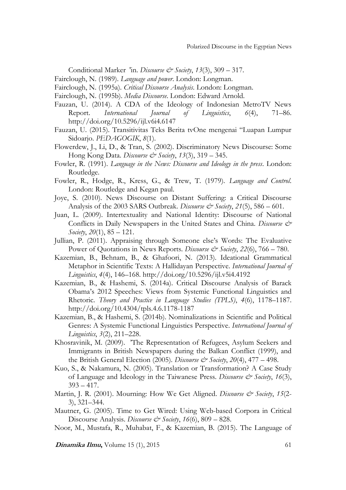Conditional Marker 'in. *Discourse & Society*, *13*(3), 309 – 317.

- Fairclough, N. (1989). *Language and power*. London: Longman.
- Fairclough, N. (1995a). *Critical Discourse Analysis*. London: Longman.
- Fairclough, N. (1995b). *Media Discourse*. London: Edward Arnold.
- Fauzan, U. (2014). A CDA of the Ideology of Indonesian MetroTV News Report. *International Journal of Linguistics*, *6*(4), 71–86. http://doi.org/10.5296/ijl.v6i4.6147
- Fauzan, U. (2015). Transitivitas Teks Berita tvOne mengenai "Luapan Lumpur Sidoarjo. *PEDAGOGIK*, *8*(1).
- Flowerdew, J., Li, D., & Tran, S. (2002). Discriminatory News Discourse: Some Hong Kong Data. *Discourse & Society*, *13*(3), 319 – 345.
- Fowler, R. (1991). *Language in the News: Discourse and Ideology in the press*. London: Routledge.
- Fowler, R., Hodge, R., Kress, G., & Trew, T. (1979). *Language and Control*. London: Routledge and Kegan paul.
- Joye, S. (2010). News Discourse on Distant Suffering: a Critical Discourse Analysis of the 2003 SARS Outbreak. *Discourse & Society*, 21(5), 586 – 601.
- Juan, L. (2009). Intertextuality and National Identity: Discourse of National Conflicts in Daily Newspapers in the United States and China. *Discourse & Society*, *20*(1), 85 – 121.
- Jullian, P. (2011). Appraising through Someone else's Words: The Evaluative Power of Quotations in News Reports. *Discourse & Society*, 22(6), 766 – 780.
- Kazemian, B., Behnam, B., & Ghafoori, N. (2013). Ideational Grammatical Metaphor in Scientific Texts: A Hallidayan Perspective. *International Journal of Linguistics*, *4*(4), 146–168. http://doi.org/10.5296/ijl.v5i4.4192
- Kazemian, B., & Hashemi, S. (2014a). Critical Discourse Analysis of Barack Obama's 2012 Speeches: Views from Systemic Functional Linguistics and Rhetoric. *Theory and Practice in Language Studies (TPLS)*, *4*(6), 1178–1187. http://doi.org/10.4304/tpls.4.6.1178-1187
- Kazemian, B., & Hashemi, S. (2014b). Nominalizations in Scientific and Political Genres: A Systemic Functional Linguistics Perspective. *International Journal of Linguistics*, *3*(2), 211–228.
- Khosravinik, M. (2009). 'The Representation of Refugees, Asylum Seekers and Immigrants in British Newspapers during the Balkan Conflict (1999), and the British General Election (2005). *Discourse & Society*, *20*(4), 477 – 498.
- Kuo, S., & Nakamura, N. (2005). Translation or Transformation? A Case Study of Language and Ideology in the Taiwanese Press. *Discourse & Society*, *16*(3),  $393 - 417$ .
- Martin, J. R. (2001). Mourning: How We Get Aligned. *Discourse & Society*, 15(2-3), 321–344.
- Mautner, G. (2005). Time to Get Wired: Using Web-based Corpora in Critical Discourse Analysis. *Discourse & Society*, *16*(6), 809 – 828.
- Noor, M., Mustafa, R., Muhabat, F., & Kazemian, B. (2015). The Language of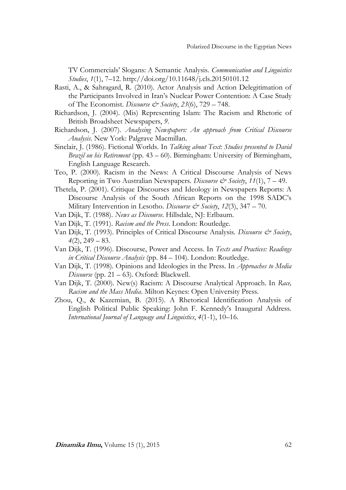TV Commercials' Slogans: A Semantic Analysis. *Communication and Linguistics Studies*, *1*(1), 7–12. http://doi.org/10.11648/j.cls.20150101.12

- Rasti, A., & Sahragard, R. (2010). Actor Analysis and Action Delegitimation of the Participants Involved in Iran's Nuclear Power Contention: A Case Study of The Economist. *Discourse & Society*, *23*(6), 729 – 748.
- Richardson, J. (2004). (Mis) Representing Islam: The Racism and Rhetoric of British Broadsheet Newspapers, *9*.
- Richardson, J. (2007). *Analysing Newspapers: An approach from Critical Discourse Analysis*. New York: Palgrave Macmillan.
- Sinclair, J. (1986). Fictional Worlds. In *Talking about Text: Studies presented to David Brazil on his Retirement* (pp. 43 – 60). Birmingham: University of Birmingham, English Language Research.
- Teo, P. (2000). Racism in the News: A Critical Discourse Analysis of News Reporting in Two Australian Newspapers. *Discourse & Society*, *11*(1), 7 – 49.
- Thetela, P. (2001). Critique Discourses and Ideology in Newspapers Reports: A Discourse Analysis of the South African Reports on the 1998 SADC's Military Intervention in Lesotho. *Discourse & Society*, 12(3), 347 – 70.
- Van Dijk, T. (1988). *News as Discourse*. Hillsdale, NJ: Erlbaum.
- Van Dijk, T. (1991). *Racism and the Press*. London: Routledge.
- Van Dijk, T. (1993). Principles of Critical Discourse Analysis. *Discourse & Society*, *4*(2), 249 – 83.
- Van Dijk, T. (1996). Discourse, Power and Access. In *Texts and Practices: Readings in Critical Discourse Analysis* (pp. 84 – 104). London: Routledge.
- Van Dijk, T. (1998). Opinions and Ideologies in the Press. In *Approaches to Media Discourse* (pp. 21 – 63). Oxford: Blackwell.
- Van Dijk, T. (2000). New(s) Racism: A Discourse Analytical Approach. In *Race, Racism and the Mass Media*. Milton Keynes: Open University Press.
- Zhou, Q., & Kazemian, B. (2015). A Rhetorical Identification Analysis of English Political Public Speaking: John F. Kennedy's Inaugural Address. *International Journal of Language and Linguistics*, *4*(1-1), 10–16.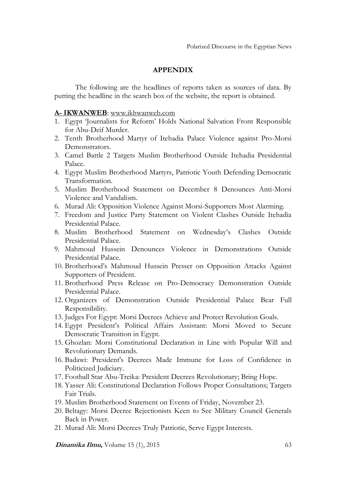### **APPENDIX**

The following are the headlines of reports taken as sources of data. By putting the headline in the search box of the website, the report is obtained.

#### **A- IKWANWEB**: [www.ikhwanweb.com](http://www.ikhwanweb.com/)

- 1. Egypt 'Journalists for Reform' Holds National Salvation Front Responsible for Abu-Deif Murder.
- 2. Tenth Brotherhood Martyr of Itehadia Palace Violence against Pro-Morsi Demonstrators.
- 3. Camel Battle 2 Targets Muslim Brotherhood Outside Itehadia Presidential Palace.
- 4. Egypt Muslim Brotherhood Martyrs, Patriotic Youth Defending Democratic Transformation.
- 5. Muslim Brotherhood Statement on December 8 Denounces Anti-Morsi Violence and Vandalism.
- 6. Murad Ali: Opposition Violence Against Morsi-Supporters Most Alarming.
- 7. Freedom and Justice Party Statement on Violent Clashes Outside Itehadia Presidential Palace.
- 8. Muslim Brotherhood Statement on Wednesday's Clashes Outside Presidential Palace.
- 9. Mahmoud Hussein Denounces Violence in Demonstrations Outside Presidential Palace.
- 10. Brotherhood's Mahmoud Hussein Presser on Opposition Attacks Against Supporters of President.
- 11. Brotherhood Press Release on Pro-Democracy Demonstration Outside Presidential Palace.
- 12. Organizers of Demonstration Outside Presidential Palace Bear Full Responsibility.
- 13. Judges For Egypt: Morsi Decrees Achieve and Protect Revolution Goals.
- 14. Egypt President's Political Affairs Assistant: Morsi Moved to Secure Democratic Transition in Egypt.
- 15. Ghozlan: Morsi Constitutional Declaration in Line with Popular Will and Revolutionary Demands.
- 16. Badawi: President's Decrees Made Immune for Loss of Confidence in Politicized Judiciary.
- 17. Football Star Abu-Treika: President Decrees Revolutionary; Bring Hope.
- 18. Yasser Ali: Constitutional Declaration Follows Proper Consultations; Targets Fair Trials.
- 19. Muslim Brotherhood Statement on Events of Friday, November 23.
- 20. Beltagy: Morsi Decree Rejectionists Keen to See Military Council Generals Back in Power.
- 21. Murad Ali: Morsi Decrees Truly Patriotic, Serve Egypt Interests.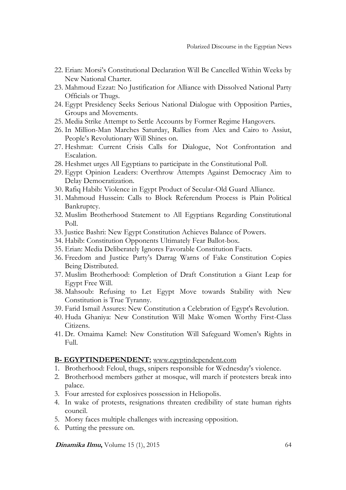- 22. Erian: Morsi's Constitutional Declaration Will Be Cancelled Within Weeks by New National Charter.
- 23. Mahmoud Ezzat: No Justification for Alliance with Dissolved National Party Officials or Thugs.
- 24. Egypt Presidency Seeks Serious National Dialogue with Opposition Parties, Groups and Movements.
- 25. Media Strike Attempt to Settle Accounts by Former Regime Hangovers.
- 26. In Million-Man Marches Saturday, Rallies from Alex and Cairo to Assiut, People's Revolutionary Will Shines on.
- 27. Heshmat: Current Crisis Calls for Dialogue, Not Confrontation and Escalation.
- 28. Heshmet urges All Egyptians to participate in the Constitutional Poll.
- 29. Egypt Opinion Leaders: Overthrow Attempts Against Democracy Aim to Delay Democratization.
- 30. Rafiq Habib: Violence in Egypt Product of Secular-Old Guard Alliance.
- 31. Mahmoud Hussein: Calls to Block Referendum Process is Plain Political Bankruptcy.
- 32. Muslim Brotherhood Statement to All Egyptians Regarding Constitutional Poll.
- 33. Justice Bashri: New Egypt Constitution Achieves Balance of Powers.
- 34. Habib: Constitution Opponents Ultimately Fear Ballot-box.
- 35. Erian: Media Deliberately Ignores Favorable Constitution Facts.
- 36. Freedom and Justice Party's Darrag Warns of Fake Constitution Copies Being Distributed.
- 37. Muslim Brotherhood: Completion of Draft Constitution a Giant Leap for Egypt Free Will.
- 38. Mahsoub: Refusing to Let Egypt Move towards Stability with New Constitution is True Tyranny.
- 39. Farid Ismail Assures: New Constitution a Celebration of Egypt's Revolution.
- 40. Huda Ghaniya: New Constitution Will Make Women Worthy First-Class Citizens.
- 41. Dr. Omaima Kamel: New Constitution Will Safeguard Women's Rights in Full.

#### **B- EGYPTINDEPENDENT:** [www.egyptindependent.com](http://www.egyptindependent.com/)

- 1. Brotherhood: Feloul, thugs, snipers responsible for Wednesday's violence.
- 2. Brotherhood members gather at mosque, will march if protesters break into palace.
- 3. Four arrested for explosives possession in Heliopolis.
- 4. In wake of protests, resignations threaten credibility of state human rights council.
- 5. Morsy faces multiple challenges with increasing opposition.
- 6. Putting the pressure on.